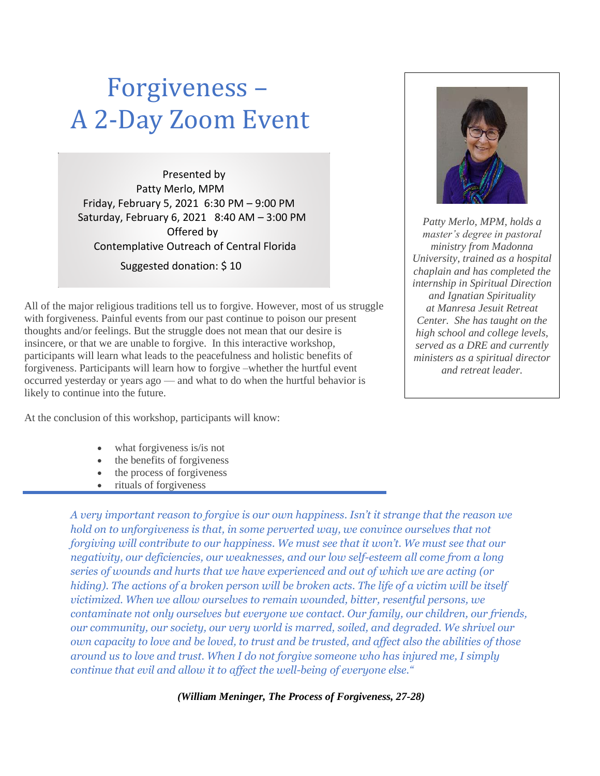## Forgiveness – A 2-Day Zoom Event

Presented by Patty Merlo, MPM Friday, February 5, 2021 6:30 PM – 9:00 PM Saturday, February 6, 2021 8:40 AM – 3:00 PM Offered by Contemplative Outreach of Central Florida

Suggested donation: \$ 10

All of the major religious traditions tell us to forgive. However, most of us struggle with forgiveness. Painful events from our past continue to poison our present thoughts and/or feelings. But the struggle does not mean that our desire is insincere, or that we are unable to forgive. In this interactive workshop, participants will learn what leads to the peacefulness and holistic benefits of forgiveness. Participants will learn how to forgive –whether the hurtful event occurred yesterday or years ago — and what to do when the hurtful behavior is likely to continue into the future.

At the conclusion of this workshop, participants will know:

- what forgiveness is/is not
- the benefits of forgiveness
- the process of forgiveness
- rituals of forgiveness

*A very important reason to forgive is our own happiness. Isn't it strange that the reason we hold on to unforgiveness is that, in some perverted way, we convince ourselves that not forgiving will contribute to our happiness. We must see that it won't. We must see that our negativity, our deficiencies, our weaknesses, and our low self-esteem all come from a long series of wounds and hurts that we have experienced and out of which we are acting (or hiding). The actions of a broken person will be broken acts. The life of a victim will be itself victimized. When we allow ourselves to remain wounded, bitter, resentful persons, we contaminate not only ourselves but everyone we contact. Our family, our children, our friends, our community, our society, our very world is marred, soiled, and degraded. We shrivel our own capacity to love and be loved, to trust and be trusted, and affect also the abilities of those around us to love and trust. When I do not forgive someone who has injured me, I simply continue that evil and allow it to affect the well-being of everyone else."*

*(William Meninger, The Process of Forgiveness, 27-28)*



*Patty Merlo, MPM, holds a master's degree in pastoral ministry from Madonna University, trained as a hospital chaplain and has completed the internship in Spiritual Direction and Ignatian Spirituality at Manresa Jesuit Retreat Center. She has taught on the high school and college levels, served as a DRE and currently ministers as a spiritual director and retreat leader.*